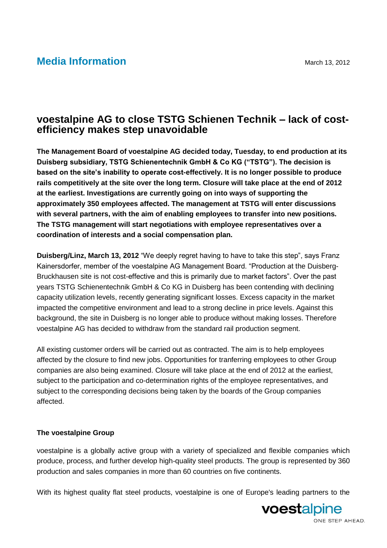## **Media Information** March 13, 2012

## **voestalpine AG to close TSTG Schienen Technik – lack of costefficiency makes step unavoidable**

**The Management Board of voestalpine AG decided today, Tuesday, to end production at its Duisberg subsidiary, TSTG Schienentechnik GmbH & Co KG ("TSTG"). The decision is based on the site's inability to operate cost-effectively. It is no longer possible to produce rails competitively at the site over the long term. Closure will take place at the end of 2012 at the earliest. Investigations are currently going on into ways of supporting the approximately 350 employees affected. The management at TSTG will enter discussions with several partners, with the aim of enabling employees to transfer into new positions. The TSTG management will start negotiations with employee representatives over a coordination of interests and a social compensation plan.**

**Duisberg/Linz, March 13, 2012** "We deeply regret having to have to take this step", says Franz Kainersdorfer, member of the voestalpine AG Management Board. "Production at the Duisberg-Bruckhausen site is not cost-effective and this is primarily due to market factors". Over the past years TSTG Schienentechnik GmbH & Co KG in Duisberg has been contending with declining capacity utilization levels, recently generating significant losses. Excess capacity in the market impacted the competitive environment and lead to a strong decline in price levels. Against this background, the site in Duisberg is no longer able to produce without making losses. Therefore voestalpine AG has decided to withdraw from the standard rail production segment.

All existing customer orders will be carried out as contracted. The aim is to help employees affected by the closure to find new jobs. Opportunities for tranferring employees to other Group companies are also being examined. Closure will take place at the end of 2012 at the earliest, subject to the participation and co-determination rights of the employee representatives, and subject to the corresponding decisions being taken by the boards of the Group companies affected.

## **The voestalpine Group**

voestalpine is a globally active group with a variety of specialized and flexible companies which produce, process, and further develop high-quality steel products. The group is represented by 360 production and sales companies in more than 60 countries on five continents.

With its highest quality flat steel products, voestalpine is one of Europe's leading partners to the

voestalpine ONE STEP AHEAD.